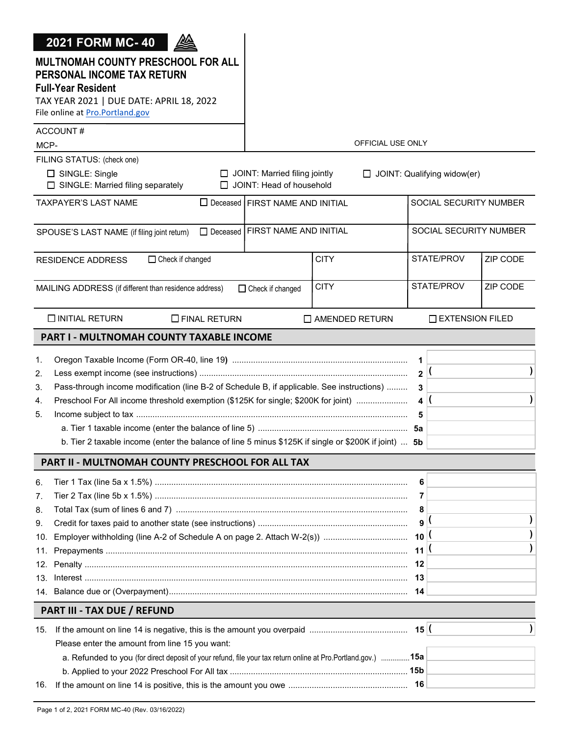| <b>2021 FORM MC-40</b><br>MULTNOMAH COUNTY PRESCHOOL FOR ALL<br>PERSONAL INCOME TAX RETURN<br><b>Full-Year Resident</b><br>TAX YEAR 2021   DUE DATE: APRIL 18, 2022<br>File online at Pro.Portland.gov                                                                                                             |                                                                  |                       |                                                                    |                             |               |
|--------------------------------------------------------------------------------------------------------------------------------------------------------------------------------------------------------------------------------------------------------------------------------------------------------------------|------------------------------------------------------------------|-----------------------|--------------------------------------------------------------------|-----------------------------|---------------|
| ACCOUNT#<br>MCP-                                                                                                                                                                                                                                                                                                   |                                                                  | OFFICIAL USE ONLY     |                                                                    |                             |               |
| FILING STATUS: (check one)<br>$\Box$ SINGLE: Single<br>$\Box$ SINGLE: Married filing separately                                                                                                                                                                                                                    | $\Box$ JOINT: Married filing jointly<br>JOINT: Head of household |                       |                                                                    | JOINT: Qualifying widow(er) |               |
| TAXPAYER'S LAST NAME                                                                                                                                                                                                                                                                                               | □ Deceased FIRST NAME AND INITIAL                                |                       |                                                                    | SOCIAL SECURITY NUMBER      |               |
| SPOUSE'S LAST NAME (if filing joint return)                                                                                                                                                                                                                                                                        | □ Deceased FIRST NAME AND INITIAL                                |                       |                                                                    | SOCIAL SECURITY NUMBER      |               |
| □ Check if changed<br><b>RESIDENCE ADDRESS</b>                                                                                                                                                                                                                                                                     |                                                                  | <b>CITY</b>           |                                                                    | STATE/PROV                  | ZIP CODE      |
| MAILING ADDRESS (if different than residence address)                                                                                                                                                                                                                                                              | $\Box$ Check if changed                                          | <b>CITY</b>           |                                                                    | STATE/PROV                  | ZIP CODE      |
| <b>O INITIAL RETURN</b><br>$\Box$ FINAL RETURN                                                                                                                                                                                                                                                                     |                                                                  | $\Box$ AMENDED RETURN |                                                                    | <b>EXTENSION FILED</b>      |               |
| PART I - MULTNOMAH COUNTY TAXABLE INCOME                                                                                                                                                                                                                                                                           |                                                                  |                       |                                                                    |                             |               |
| 1.<br>2.<br>Pass-through income modification (line B-2 of Schedule B, if applicable. See instructions)<br>3.<br>Preschool For All income threshold exemption (\$125K for single; \$200K for joint)<br>4.<br>5.<br>b. Tier 2 taxable income (enter the balance of line 5 minus \$125K if single or \$200K if joint) |                                                                  |                       | 1<br>$\overline{2}$<br>3<br>4 <sup>1</sup><br>5<br>5b              |                             | $\mathcal{E}$ |
| PART II - MULTNOMAH COUNTY PRESCHOOL FOR ALL TAX                                                                                                                                                                                                                                                                   |                                                                  |                       |                                                                    |                             |               |
| 6.<br>7.<br>8.<br>9.<br>10.<br>11.<br>12.<br>13.                                                                                                                                                                                                                                                                   |                                                                  |                       | 6<br>7<br>8<br>9<br>$10^{10}$<br>11 <sup>1</sup><br>12<br>13<br>14 |                             |               |
| PART III - TAX DUE / REFUND                                                                                                                                                                                                                                                                                        |                                                                  |                       |                                                                    |                             |               |
| 15.<br>Please enter the amount from line 15 you want:<br>a. Refunded to you (for direct deposit of your refund, file your tax return online at Pro.Portland.gov.) 15a                                                                                                                                              |                                                                  |                       |                                                                    |                             |               |
| 16.                                                                                                                                                                                                                                                                                                                |                                                                  |                       | 16                                                                 |                             |               |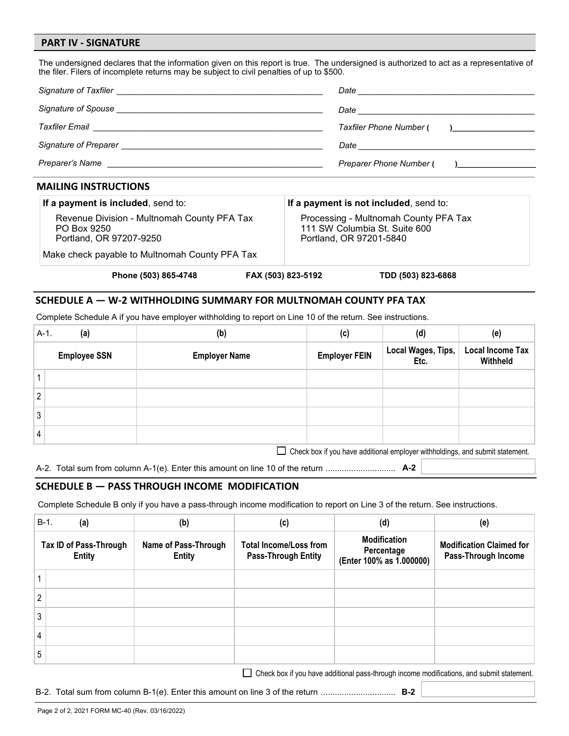#### **PART IV - SIGNATURE**

The undersigned declares that the information given on this report is true. The undersigned is authorized to act as a representative of the filer. Filers of incomplete returns may be subject to civil penalties of up to \$500.

| <b>MAILING INSTRUCTIONS</b>                                                                                                                                                                                                          |                                                                                      |
|--------------------------------------------------------------------------------------------------------------------------------------------------------------------------------------------------------------------------------------|--------------------------------------------------------------------------------------|
| Preparer's Name <b>contract the contract of the contract of the contract of the contract of the contract of the contract of the contract of the contract of the contract of the contract of the contract of the contract of the </b> | Preparer Phone Number ( )                                                            |
|                                                                                                                                                                                                                                      |                                                                                      |
|                                                                                                                                                                                                                                      | Taxfiler Phone Number (<br>$\mathbf{I}$ and $\mathbf{I}$ are the set of $\mathbf{I}$ |
|                                                                                                                                                                                                                                      |                                                                                      |
|                                                                                                                                                                                                                                      |                                                                                      |

| If a payment is included, send to:                                                    |                    | If a payment is not included, send to:                                                            |  |  |
|---------------------------------------------------------------------------------------|--------------------|---------------------------------------------------------------------------------------------------|--|--|
| Revenue Division - Multnomah County PFA Tax<br>PO Box 9250<br>Portland, OR 97207-9250 |                    | Processing - Multnomah County PFA Tax<br>111 SW Columbia St. Suite 600<br>Portland, OR 97201-5840 |  |  |
| Make check payable to Multnomah County PFA Tax                                        |                    |                                                                                                   |  |  |
| Phone (503) 865-4748                                                                  | FAX (503) 823-5192 | TDD (503) 823-6868                                                                                |  |  |

#### **SCHEDULE A — W-2 WITHHOLDING SUMMARY FOR MULTNOMAH COUNTY PFA TAX**

Complete Schedule A if you have employer withholding to report on Line 10 of the return. See instructions.

| $A-1$ .        | (a)                                                                             | (b)                  | (c)                  | (d)                        | (e)                                 |
|----------------|---------------------------------------------------------------------------------|----------------------|----------------------|----------------------------|-------------------------------------|
|                | <b>Employee SSN</b>                                                             | <b>Employer Name</b> | <b>Employer FEIN</b> | Local Wages, Tips,<br>Etc. | <b>Local Income Tax</b><br>Withheld |
|                |                                                                                 |                      |                      |                            |                                     |
| $\overline{2}$ |                                                                                 |                      |                      |                            |                                     |
| 3              |                                                                                 |                      |                      |                            |                                     |
|                |                                                                                 |                      |                      |                            |                                     |
|                | □ Check box if you have additional employer withholdings, and submit statement. |                      |                      |                            |                                     |

A-2. Total sum from column A-1(e). Enter this amount on line 10 of the return .............................. **A-2**

#### **SCHEDULE B — PASS THROUGH INCOME MODIFICATION**

Complete Schedule B only if you have a pass-through income modification to report on Line 3 of the return. See instructions.

|   | $B-1$ .<br>(a)                          | (b)                                   | (c)                                                         | (d)                                                           | (e)                                                    |
|---|-----------------------------------------|---------------------------------------|-------------------------------------------------------------|---------------------------------------------------------------|--------------------------------------------------------|
|   | Tax ID of Pass-Through<br><b>Entity</b> | Name of Pass-Through<br><b>Entity</b> | <b>Total Income/Loss from</b><br><b>Pass-Through Entity</b> | <b>Modification</b><br>Percentage<br>(Enter 100% as 1.000000) | <b>Modification Claimed for</b><br>Pass-Through Income |
|   |                                         |                                       |                                                             |                                                               |                                                        |
| 2 |                                         |                                       |                                                             |                                                               |                                                        |
| 3 |                                         |                                       |                                                             |                                                               |                                                        |
| 4 |                                         |                                       |                                                             |                                                               |                                                        |
| 5 |                                         |                                       |                                                             |                                                               |                                                        |

Check box if you have additional pass-through income modifications, and submit statement.

B-2. Total sum from column B-1(e). Enter this amount on line 3 of the return ................................ **B-2**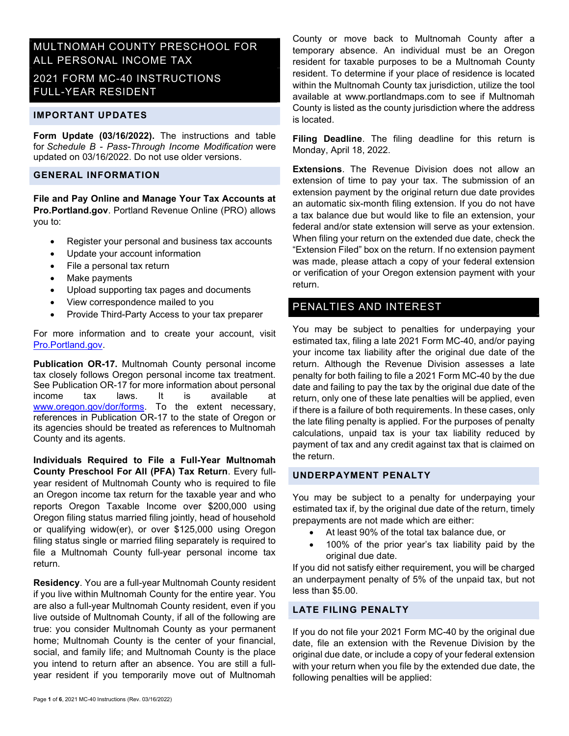# MULTNOMAH COUNTY PRESCHOOL FOR ALL PERSONAL INCOME TAX

# 2021 FORM MC-40 INSTRUCTIONS FULL-YEAR RESIDENT

#### IMPORTANT UPDATES

Form Update (03/16/2022). The instructions and table for Schedule B - Pass-Through Income Modification were updated on 03/16/2022. Do not use older versions.

### GENERAL INFORMATION

File and Pay Online and Manage Your Tax Accounts at Pro.Portland.gov. Portland Revenue Online (PRO) allows you to:

- Register your personal and business tax accounts
- Update your account information
- File a personal tax return
- Make payments
- Upload supporting tax pages and documents
- View correspondence mailed to you
- Provide Third-Party Access to your tax preparer

For more information and to create your account, visit [Pro.Portland.gov.](https://pro.portland.gov/_/) 

Publication OR-17. Multnomah County personal income tax closely follows Oregon personal income tax treatment. See Publication OR-17 for more information about personal income tax laws. It is available at www.oregon.gov/dor/forms. To the extent necessary, references in Publication OR-17 to the state of Oregon or its agencies should be treated as references to Multnomah County and its agents.

Individuals Required to File a Full-Year Multnomah County Preschool For All (PFA) Tax Return. Every fullyear resident of Multnomah County who is required to file an Oregon income tax return for the taxable year and who reports Oregon Taxable Income over \$200,000 using Oregon filing status married filing jointly, head of household or qualifying widow(er), or over \$125,000 using Oregon filing status single or married filing separately is required to file a Multnomah County full-year personal income tax return.

Residency. You are a full-year Multnomah County resident if you live within Multnomah County for the entire year. You are also a full-year Multnomah County resident, even if you live outside of Multnomah County, if all of the following are true: you consider Multnomah County as your permanent home; Multnomah County is the center of your financial, social, and family life; and Multnomah County is the place you intend to return after an absence. You are still a fullyear resident if you temporarily move out of Multnomah

County or move back to Multnomah County after a temporary absence. An individual must be an Oregon resident for taxable purposes to be a Multnomah County resident. To determine if your place of residence is located within the Multnomah County tax jurisdiction, utilize the tool available at www.portlandmaps.com to see if Multnomah County is listed as the county jurisdiction where the address is located.

Filing Deadline. The filing deadline for this return is Monday, April 18, 2022.

**Extensions**. The Revenue Division does not allow an extension of time to pay your tax. The submission of an extension payment by the original return due date provides an automatic six-month filing extension. If you do not have a tax balance due but would like to file an extension, your federal and/or state extension will serve as your extension. When filing your return on the extended due date, check the "Extension Filed" box on the return. If no extension payment was made, please attach a copy of your federal extension or verification of your Oregon extension payment with your return.

## PENALTIES AND INTEREST

You may be subject to penalties for underpaying your estimated tax, filing a late 2021 Form MC-40, and/or paying your income tax liability after the original due date of the return. Although the Revenue Division assesses a late penalty for both failing to file a 2021 Form MC-40 by the due date and failing to pay the tax by the original due date of the return, only one of these late penalties will be applied, even if there is a failure of both requirements. In these cases, only the late filing penalty is applied. For the purposes of penalty calculations, unpaid tax is your tax liability reduced by payment of tax and any credit against tax that is claimed on the return.

#### UNDERPAYMENT PENALTY

You may be subject to a penalty for underpaying your estimated tax if, by the original due date of the return, timely prepayments are not made which are either:

- At least 90% of the total tax balance due, or
- 100% of the prior year's tax liability paid by the original due date.

If you did not satisfy either requirement, you will be charged an underpayment penalty of 5% of the unpaid tax, but not less than \$5.00.

### LATE FILING PENALTY

If you do not file your 2021 Form MC-40 by the original due date, file an extension with the Revenue Division by the original due date, or include a copy of your federal extension with your return when you file by the extended due date, the following penalties will be applied: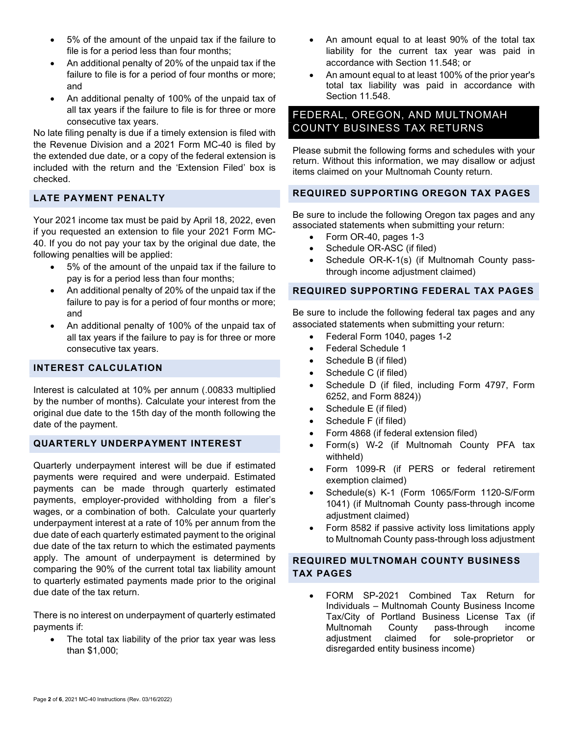- 5% of the amount of the unpaid tax if the failure to file is for a period less than four months;
- An additional penalty of 20% of the unpaid tax if the failure to file is for a period of four months or more; and
- An additional penalty of 100% of the unpaid tax of all tax years if the failure to file is for three or more consecutive tax years.

No late filing penalty is due if a timely extension is filed with the Revenue Division and a 2021 Form MC-40 is filed by the extended due date, or a copy of the federal extension is included with the return and the 'Extension Filed' box is checked.

## LATE PAYMENT PENALTY

Your 2021 income tax must be paid by April 18, 2022, even if you requested an extension to file your 2021 Form MC-40. If you do not pay your tax by the original due date, the following penalties will be applied:

- 5% of the amount of the unpaid tax if the failure to pay is for a period less than four months;
- An additional penalty of 20% of the unpaid tax if the failure to pay is for a period of four months or more; and
- An additional penalty of 100% of the unpaid tax of all tax years if the failure to pay is for three or more consecutive tax years.

## INTEREST CALCULATION

Interest is calculated at 10% per annum (.00833 multiplied by the number of months). Calculate your interest from the original due date to the 15th day of the month following the date of the payment.

## QUARTERLY UNDERPAYMENT INTEREST

Quarterly underpayment interest will be due if estimated payments were required and were underpaid. Estimated payments can be made through quarterly estimated payments, employer-provided withholding from a filer's wages, or a combination of both. Calculate your quarterly underpayment interest at a rate of 10% per annum from the due date of each quarterly estimated payment to the original due date of the tax return to which the estimated payments apply. The amount of underpayment is determined by comparing the 90% of the current total tax liability amount to quarterly estimated payments made prior to the original due date of the tax return.

There is no interest on underpayment of quarterly estimated payments if:

• The total tax liability of the prior tax year was less than \$1,000;

- An amount equal to at least 90% of the total tax liability for the current tax year was paid in accordance with Section 11.548; or
- An amount equal to at least 100% of the prior year's total tax liability was paid in accordance with Section 11.548.

# FEDERAL, OREGON, AND MULTNOMAH COUNTY BUSINESS TAX RETURNS

Please submit the following forms and schedules with your return. Without this information, we may disallow or adjust items claimed on your Multnomah County return.

#### REQUIRED SUPPORTING OREGON TAX PAGES

Be sure to include the following Oregon tax pages and any associated statements when submitting your return:

- Form OR-40, pages 1-3
- Schedule OR-ASC (if filed)
- Schedule OR-K-1(s) (if Multnomah County passthrough income adjustment claimed)

### REQUIRED SUPPORTING FEDERAL TAX PAGES

Be sure to include the following federal tax pages and any associated statements when submitting your return:

- Federal Form 1040, pages 1-2
- Federal Schedule 1
- Schedule B (if filed)
- Schedule C (if filed)
- Schedule D (if filed, including Form 4797, Form 6252, and Form 8824))
- Schedule E (if filed)
- Schedule F (if filed)
- Form 4868 (if federal extension filed)
- Form(s) W-2 (if Multnomah County PFA tax withheld)
- Form 1099-R (if PERS or federal retirement exemption claimed)
- Schedule(s) K-1 (Form 1065/Form 1120-S/Form 1041) (if Multnomah County pass-through income adjustment claimed)
- Form 8582 if passive activity loss limitations apply to Multnomah County pass-through loss adjustment

### REQUIRED MULTNOMAH COUNTY BUSINESS TAX PAGES

 FORM SP-2021 Combined Tax Return for Individuals – Multnomah County Business Income Tax/City of Portland Business License Tax (if Multnomah County pass-through income adjustment claimed for sole-proprietor or disregarded entity business income)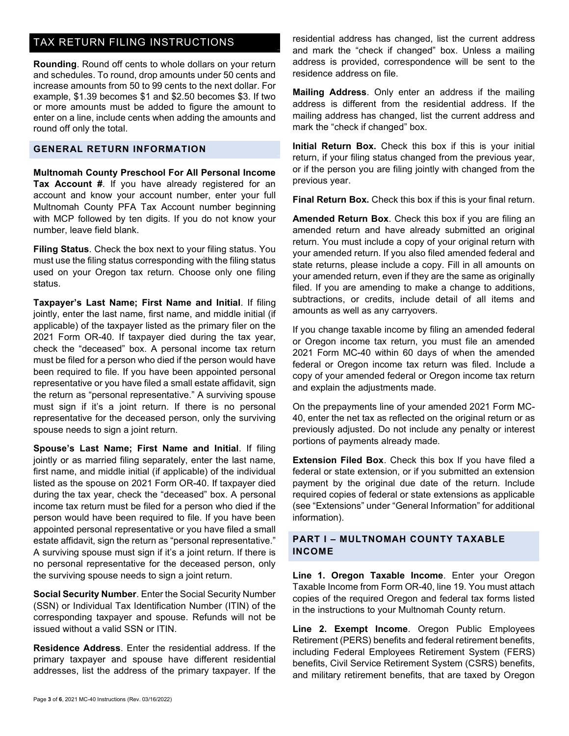# TAX RETURN FILING INSTRUCTIONS

Rounding. Round off cents to whole dollars on your return and schedules. To round, drop amounts under 50 cents and increase amounts from 50 to 99 cents to the next dollar. For example, \$1.39 becomes \$1 and \$2.50 becomes \$3. If two or more amounts must be added to figure the amount to enter on a line, include cents when adding the amounts and round off only the total.

### GENERAL RETURN INFORMATION

Multnomah County Preschool For All Personal Income Tax Account #. If you have already registered for an account and know your account number, enter your full Multnomah County PFA Tax Account number beginning with MCP followed by ten digits. If you do not know your number, leave field blank.

Filing Status. Check the box next to your filing status. You must use the filing status corresponding with the filing status used on your Oregon tax return. Choose only one filing status.

Taxpayer's Last Name; First Name and Initial. If filing jointly, enter the last name, first name, and middle initial (if applicable) of the taxpayer listed as the primary filer on the 2021 Form OR-40. If taxpayer died during the tax year, check the "deceased" box. A personal income tax return must be filed for a person who died if the person would have been required to file. If you have been appointed personal representative or you have filed a small estate affidavit, sign the return as "personal representative." A surviving spouse must sign if it's a joint return. If there is no personal representative for the deceased person, only the surviving spouse needs to sign a joint return.

Spouse's Last Name; First Name and Initial. If filing jointly or as married filing separately, enter the last name, first name, and middle initial (if applicable) of the individual listed as the spouse on 2021 Form OR-40. If taxpayer died during the tax year, check the "deceased" box. A personal income tax return must be filed for a person who died if the person would have been required to file. If you have been appointed personal representative or you have filed a small estate affidavit, sign the return as "personal representative." A surviving spouse must sign if it's a joint return. If there is no personal representative for the deceased person, only the surviving spouse needs to sign a joint return.

Social Security Number. Enter the Social Security Number (SSN) or Individual Tax Identification Number (ITIN) of the corresponding taxpayer and spouse. Refunds will not be issued without a valid SSN or ITIN.

Residence Address. Enter the residential address. If the primary taxpayer and spouse have different residential addresses, list the address of the primary taxpayer. If the residential address has changed, list the current address and mark the "check if changed" box. Unless a mailing address is provided, correspondence will be sent to the residence address on file.

Mailing Address. Only enter an address if the mailing address is different from the residential address. If the mailing address has changed, list the current address and mark the "check if changed" box.

Initial Return Box. Check this box if this is your initial return, if your filing status changed from the previous year, or if the person you are filing jointly with changed from the previous year.

Final Return Box. Check this box if this is your final return.

Amended Return Box. Check this box if you are filing an amended return and have already submitted an original return. You must include a copy of your original return with your amended return. If you also filed amended federal and state returns, please include a copy. Fill in all amounts on your amended return, even if they are the same as originally filed. If you are amending to make a change to additions, subtractions, or credits, include detail of all items and amounts as well as any carryovers.

If you change taxable income by filing an amended federal or Oregon income tax return, you must file an amended 2021 Form MC-40 within 60 days of when the amended federal or Oregon income tax return was filed. Include a copy of your amended federal or Oregon income tax return and explain the adjustments made.

On the prepayments line of your amended 2021 Form MC-40, enter the net tax as reflected on the original return or as previously adjusted. Do not include any penalty or interest portions of payments already made.

Extension Filed Box. Check this box If you have filed a federal or state extension, or if you submitted an extension payment by the original due date of the return. Include required copies of federal or state extensions as applicable (see "Extensions" under "General Information" for additional information).

#### PART I – MULTNOMAH COUNTY TAXABLE INCOME

Line 1. Oregon Taxable Income. Enter your Oregon Taxable Income from Form OR-40, line 19. You must attach copies of the required Oregon and federal tax forms listed in the instructions to your Multnomah County return.

Line 2. Exempt Income. Oregon Public Employees Retirement (PERS) benefits and federal retirement benefits, including Federal Employees Retirement System (FERS) benefits, Civil Service Retirement System (CSRS) benefits, and military retirement benefits, that are taxed by Oregon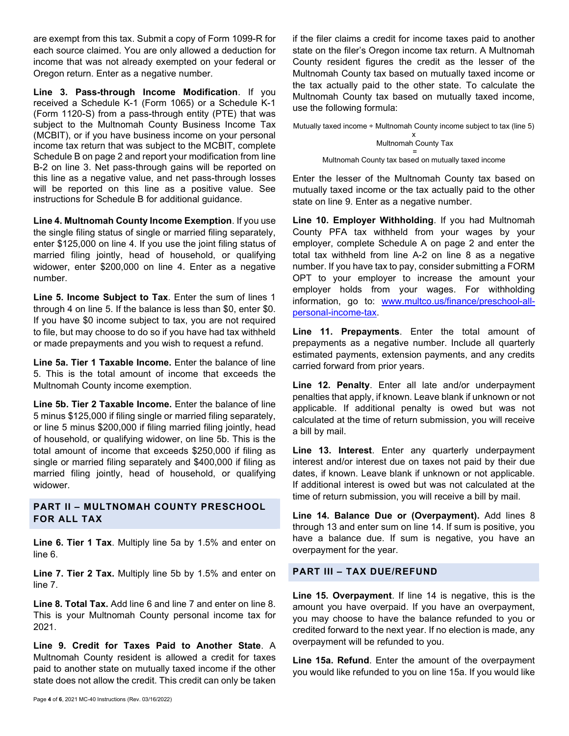are exempt from this tax. Submit a copy of Form 1099-R for each source claimed. You are only allowed a deduction for income that was not already exempted on your federal or Oregon return. Enter as a negative number.

Line 3. Pass-through Income Modification. If you received a Schedule K-1 (Form 1065) or a Schedule K-1 (Form 1120-S) from a pass-through entity (PTE) that was subject to the Multnomah County Business Income Tax (MCBIT), or if you have business income on your personal income tax return that was subject to the MCBIT, complete Schedule B on page 2 and report your modification from line B-2 on line 3. Net pass-through gains will be reported on this line as a negative value, and net pass-through losses will be reported on this line as a positive value. See instructions for Schedule B for additional guidance.

Line 4. Multnomah County Income Exemption. If you use the single filing status of single or married filing separately, enter \$125,000 on line 4. If you use the joint filing status of married filing jointly, head of household, or qualifying widower, enter \$200,000 on line 4. Enter as a negative number.

Line 5. Income Subject to Tax. Enter the sum of lines 1 through 4 on line 5. If the balance is less than \$0, enter \$0. If you have \$0 income subject to tax, you are not required to file, but may choose to do so if you have had tax withheld or made prepayments and you wish to request a refund.

Line 5a. Tier 1 Taxable Income. Enter the balance of line 5. This is the total amount of income that exceeds the Multnomah County income exemption.

Line 5b. Tier 2 Taxable Income. Enter the balance of line 5 minus \$125,000 if filing single or married filing separately, or line 5 minus \$200,000 if filing married filing jointly, head of household, or qualifying widower, on line 5b. This is the total amount of income that exceeds \$250,000 if filing as single or married filing separately and \$400,000 if filing as married filing jointly, head of household, or qualifying widower.

## PART II – MULTNOMAH COUNTY PRESCHOOL FOR ALL TAX

Line 6. Tier 1 Tax. Multiply line 5a by 1.5% and enter on line 6.

Line 7. Tier 2 Tax. Multiply line 5b by 1.5% and enter on line 7.

Line 8. Total Tax. Add line 6 and line 7 and enter on line 8. This is your Multnomah County personal income tax for 2021.

Line 9. Credit for Taxes Paid to Another State. A Multnomah County resident is allowed a credit for taxes paid to another state on mutually taxed income if the other state does not allow the credit. This credit can only be taken Mutually taxed income  $\div$  Multnomah County income subject to tax (line 5)

if the filer claims a credit for income taxes paid to another

$$
x
$$
  
Multnomah County Tax  

$$
=
$$

Multnomah County tax based on mutually taxed income

Enter the lesser of the Multnomah County tax based on mutually taxed income or the tax actually paid to the other state on line 9. Enter as a negative number.

Line 10. Employer Withholding. If you had Multnomah County PFA tax withheld from your wages by your employer, complete Schedule A on page 2 and enter the total tax withheld from line A-2 on line 8 as a negative number. If you have tax to pay, consider submitting a FORM OPT to your employer to increase the amount your employer holds from your wages. For withholding information, go to: www.multco.us/finance/preschool-allpersonal-income-tax.

Line 11. Prepayments. Enter the total amount of prepayments as a negative number. Include all quarterly estimated payments, extension payments, and any credits carried forward from prior years.

Line 12. Penalty. Enter all late and/or underpayment penalties that apply, if known. Leave blank if unknown or not applicable. If additional penalty is owed but was not calculated at the time of return submission, you will receive a bill by mail.

Line 13. Interest. Enter any quarterly underpayment interest and/or interest due on taxes not paid by their due dates, if known. Leave blank if unknown or not applicable. If additional interest is owed but was not calculated at the time of return submission, you will receive a bill by mail.

Line 14. Balance Due or (Overpayment). Add lines 8 through 13 and enter sum on line 14. If sum is positive, you have a balance due. If sum is negative, you have an overpayment for the year.

#### PART III – TAX DUE/REFUND

Line 15. Overpayment. If line 14 is negative, this is the amount you have overpaid. If you have an overpayment, you may choose to have the balance refunded to you or credited forward to the next year. If no election is made, any overpayment will be refunded to you.

Line 15a. Refund. Enter the amount of the overpayment you would like refunded to you on line 15a. If you would like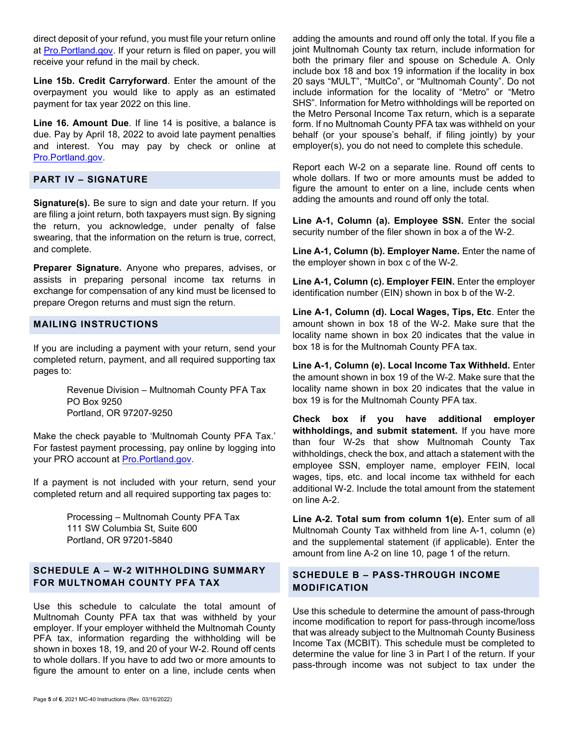direct deposit of your refund, you must file your return online at [Pro.Portland.gov.](https://pro.portland.gov/_/) If your return is filed on paper, you will receive your refund in the mail by check.

Line 15b. Credit Carryforward. Enter the amount of the overpayment you would like to apply as an estimated payment for tax year 2022 on this line.

Line 16. Amount Due. If line 14 is positive, a balance is due. Pay by April 18, 2022 to avoid late payment penalties and interest. You may pay by check or online at [Pro.Portland.gov.](https://pro.portland.gov/_/) 

### PART IV – SIGNATURE

Signature(s). Be sure to sign and date your return. If you are filing a joint return, both taxpayers must sign. By signing the return, you acknowledge, under penalty of false swearing, that the information on the return is true, correct, and complete.

Preparer Signature. Anyone who prepares, advises, or assists in preparing personal income tax returns in exchange for compensation of any kind must be licensed to prepare Oregon returns and must sign the return.

### MAILING INSTRUCTIONS

If you are including a payment with your return, send your completed return, payment, and all required supporting tax pages to:

> Revenue Division – Multnomah County PFA Tax PO Box 9250 Portland, OR 97207-9250

Make the check payable to 'Multnomah County PFA Tax.' For fastest payment processing, pay online by logging into your PRO account at [Pro.Portland.gov.](https://pro.portland.gov/_/) 

If a payment is not included with your return, send your completed return and all required supporting tax pages to:

> Processing – Multnomah County PFA Tax 111 SW Columbia St, Suite 600 Portland, OR 97201-5840

## SCHEDULE A – W-2 WITHHOLDING SUMMARY FOR MULTNOMAH COUNTY PFA TAX

Use this schedule to calculate the total amount of Multnomah County PFA tax that was withheld by your employer. If your employer withheld the Multnomah County PFA tax, information regarding the withholding will be shown in boxes 18, 19, and 20 of your W-2. Round off cents to whole dollars. If you have to add two or more amounts to figure the amount to enter on a line, include cents when

adding the amounts and round off only the total. If you file a joint Multnomah County tax return, include information for both the primary filer and spouse on Schedule A. Only include box 18 and box 19 information if the locality in box 20 says "MULT", "MultCo", or "Multnomah County". Do not include information for the locality of "Metro" or "Metro SHS". Information for Metro withholdings will be reported on the Metro Personal Income Tax return, which is a separate form. If no Multnomah County PFA tax was withheld on your behalf (or your spouse's behalf, if filing jointly) by your employer(s), you do not need to complete this schedule.

Report each W-2 on a separate line. Round off cents to whole dollars. If two or more amounts must be added to figure the amount to enter on a line, include cents when adding the amounts and round off only the total.

Line A-1, Column (a). Employee SSN. Enter the social security number of the filer shown in box a of the W-2.

Line A-1, Column (b). Employer Name. Enter the name of the employer shown in box c of the W-2.

Line A-1, Column (c). Employer FEIN. Enter the employer identification number (EIN) shown in box b of the W-2.

Line A-1, Column (d). Local Wages, Tips, Etc. Enter the amount shown in box 18 of the W-2. Make sure that the locality name shown in box 20 indicates that the value in box 18 is for the Multnomah County PFA tax.

Line A-1, Column (e). Local Income Tax Withheld. Enter the amount shown in box 19 of the W-2. Make sure that the locality name shown in box 20 indicates that the value in box 19 is for the Multnomah County PFA tax.

Check box if you have additional employer withholdings, and submit statement. If you have more than four W-2s that show Multnomah County Tax withholdings, check the box, and attach a statement with the employee SSN, employer name, employer FEIN, local wages, tips, etc. and local income tax withheld for each additional W-2. Include the total amount from the statement on line A-2.

Line A-2. Total sum from column 1(e). Enter sum of all Multnomah County Tax withheld from line A-1, column (e) and the supplemental statement (if applicable). Enter the amount from line A-2 on line 10, page 1 of the return.

## SCHEDULE B – PASS-THROUGH INCOME MODIFICATION

Use this schedule to determine the amount of pass-through income modification to report for pass-through income/loss that was already subject to the Multnomah County Business Income Tax (MCBIT). This schedule must be completed to determine the value for line 3 in Part I of the return. If your pass-through income was not subject to tax under the